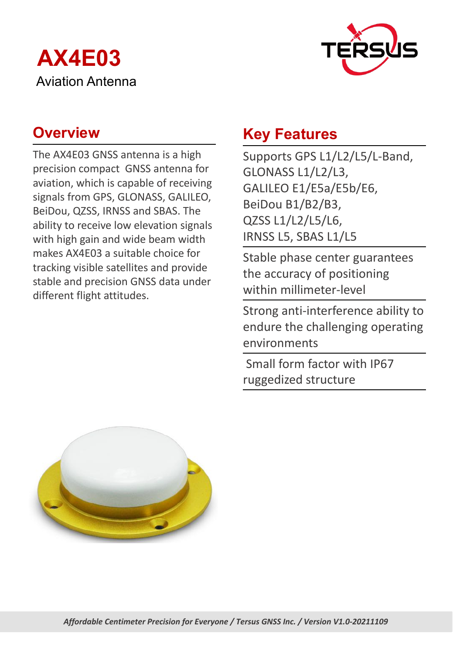



The AX4E03 GNSS antenna is a high precision compact GNSS antenna for aviation, which is capable of receiving signals from GPS, GLONASS, GALILEO, BeiDou, QZSS, IRNSS and SBAS. The ability to receive low elevation signals with high gain and wide beam width makes AX4E03 a suitable choice for tracking visible satellites and provide stable and precision GNSS data under different flight attitudes.

## **Overview <b>Key Features**

Supports GPS L1/L2/L5/L-Band, GLONASS L1/L2/L3, GALILEO E1/E5a/E5b/E6, BeiDou B1/B2/B3, QZSS L1/L2/L5/L6, IRNSS L5, SBAS L1/L5

Stable phase center guarantees the accuracy of positioning within millimeter-level

Strong anti-interference ability to endure the challenging operating environments

Small form factor with IP67 ruggedized structure